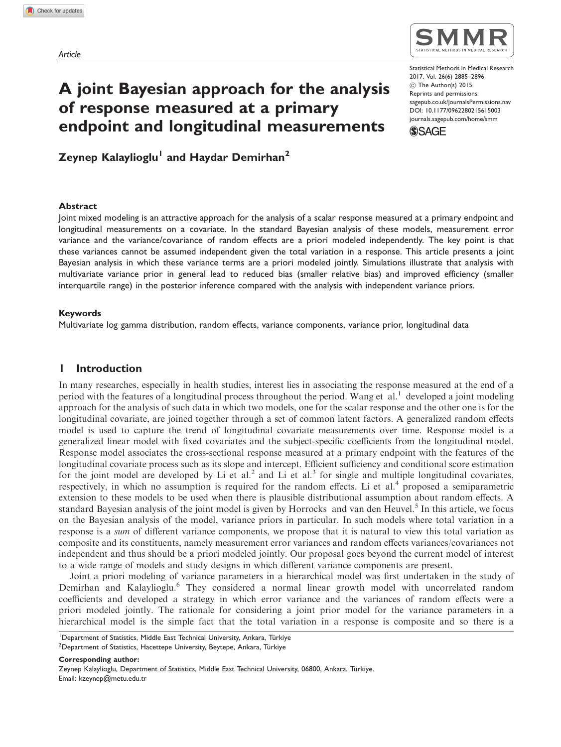

Statistical Methods in Medical Research 2017, Vol. 26(6) 2885–2896 ! The Author(s) 2015 Reprints and permissions: [sagepub.co.uk/journalsPermissions.nav](https://uk.sagepub.com/en-gb/journals-permissions) DOI: [10.1177/0962280215615003](https://doi.org/10.1177/0962280215615003) <journals.sagepub.com/home/smm>

**SSAGE** 

# A joint Bayesian approach for the analysis of response measured at a primary endpoint and longitudinal measurements

Zeynep Kalaylioglu<sup>1</sup> and Haydar Demirhan<sup>2</sup>

#### Abstract

Joint mixed modeling is an attractive approach for the analysis of a scalar response measured at a primary endpoint and longitudinal measurements on a covariate. In the standard Bayesian analysis of these models, measurement error variance and the variance/covariance of random effects are a priori modeled independently. The key point is that these variances cannot be assumed independent given the total variation in a response. This article presents a joint Bayesian analysis in which these variance terms are a priori modeled jointly. Simulations illustrate that analysis with multivariate variance prior in general lead to reduced bias (smaller relative bias) and improved efficiency (smaller interquartile range) in the posterior inference compared with the analysis with independent variance priors.

#### Keywords

Multivariate log gamma distribution, random effects, variance components, variance prior, longitudinal data

#### 1 Introduction

In many researches, especially in health studies, interest lies in associating the response measured at the end of a period with the features of a longitudinal process throughout the period. Wang et al.<sup>1</sup> developed a joint modeling approach for the analysis of such data in which two models, one for the scalar response and the other one is for the longitudinal covariate, are joined together through a set of common latent factors. A generalized random effects model is used to capture the trend of longitudinal covariate measurements over time. Response model is a generalized linear model with fixed covariates and the subject-specific coefficients from the longitudinal model. Response model associates the cross-sectional response measured at a primary endpoint with the features of the longitudinal covariate process such as its slope and intercept. Efficient sufficiency and conditional score estimation for the joint model are developed by Li et al.<sup>2</sup> and Li et al.<sup>3</sup> for single and multiple longitudinal covariates, respectively, in which no assumption is required for the random effects. Li et al.<sup>4</sup> proposed a semiparametric extension to these models to be used when there is plausible distributional assumption about random effects. A standard Bayesian analysis of the joint model is given by Horrocks and van den Heuvel.<sup>5</sup> In this article, we focus on the Bayesian analysis of the model, variance priors in particular. In such models where total variation in a response is a *sum* of different variance components, we propose that it is natural to view this total variation as composite and its constituents, namely measurement error variances and random effects variances/covariances not independent and thus should be a priori modeled jointly. Our proposal goes beyond the current model of interest to a wide range of models and study designs in which different variance components are present.

Joint a priori modeling of variance parameters in a hierarchical model was first undertaken in the study of Demirhan and Kalaylioglu.<sup>6</sup> They considered a normal linear growth model with uncorrelated random coefficients and developed a strategy in which error variance and the variances of random effects were a priori modeled jointly. The rationale for considering a joint prior model for the variance parameters in a hierarchical model is the simple fact that the total variation in a response is composite and so there is a

Corresponding author:

<sup>&</sup>lt;sup>1</sup> Department of Statistics, Middle East Technical University, Ankara, Türkiye<br><sup>2</sup> Department of Statistics, Hacettene University, Beytene, Ankara, Türkiye <sup>2</sup>Department of Statistics, Hacettepe University, Beytepe, Ankara, Türkiye

Zeynep Kalaylioglu, Department of Statistics, Middle East Technical University, 06800, Ankara, Türkiye. Email: kzeynep@metu.edu.tr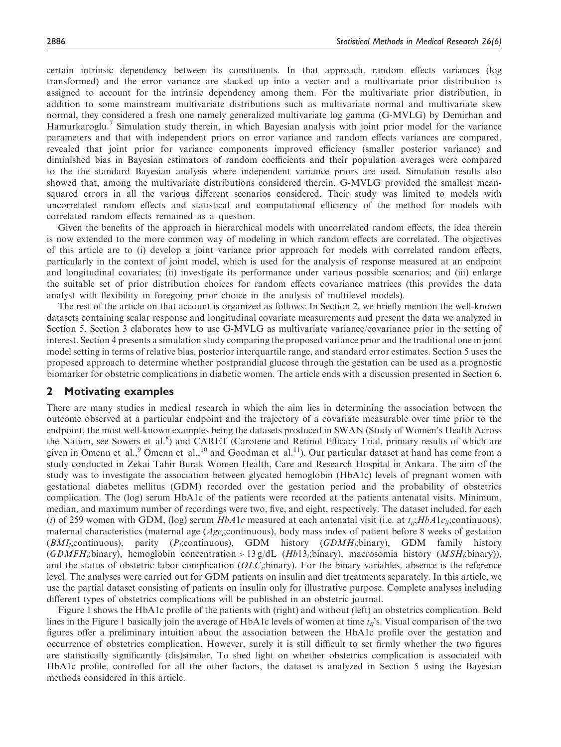certain intrinsic dependency between its constituents. In that approach, random effects variances (log transformed) and the error variance are stacked up into a vector and a multivariate prior distribution is assigned to account for the intrinsic dependency among them. For the multivariate prior distribution, in addition to some mainstream multivariate distributions such as multivariate normal and multivariate skew normal, they considered a fresh one namely generalized multivariate log gamma (G-MVLG) by Demirhan and Hamurkaroglu.<sup>7</sup> Simulation study therein, in which Bayesian analysis with joint prior model for the variance parameters and that with independent priors on error variance and random effects variances are compared, revealed that joint prior for variance components improved efficiency (smaller posterior variance) and diminished bias in Bayesian estimators of random coefficients and their population averages were compared to the the standard Bayesian analysis where independent variance priors are used. Simulation results also showed that, among the multivariate distributions considered therein, G-MVLG provided the smallest meansquared errors in all the various different scenarios considered. Their study was limited to models with uncorrelated random effects and statistical and computational efficiency of the method for models with correlated random effects remained as a question.

Given the benefits of the approach in hierarchical models with uncorrelated random effects, the idea therein is now extended to the more common way of modeling in which random effects are correlated. The objectives of this article are to (i) develop a joint variance prior approach for models with correlated random effects, particularly in the context of joint model, which is used for the analysis of response measured at an endpoint and longitudinal covariates; (ii) investigate its performance under various possible scenarios; and (iii) enlarge the suitable set of prior distribution choices for random effects covariance matrices (this provides the data analyst with flexibility in foregoing prior choice in the analysis of multilevel models).

The rest of the article on that account is organized as follows: In Section 2, we briefly mention the well-known datasets containing scalar response and longitudinal covariate measurements and present the data we analyzed in Section 5. Section 3 elaborates how to use G-MVLG as multivariate variance/covariance prior in the setting of interest. Section 4 presents a simulation study comparing the proposed variance prior and the traditional one in joint model setting in terms of relative bias, posterior interquartile range, and standard error estimates. Section 5 uses the proposed approach to determine whether postprandial glucose through the gestation can be used as a prognostic biomarker for obstetric complications in diabetic women. The article ends with a discussion presented in Section 6.

## 2 Motivating examples

There are many studies in medical research in which the aim lies in determining the association between the outcome observed at a particular endpoint and the trajectory of a covariate measurable over time prior to the endpoint, the most well-known examples being the datasets produced in SWAN (Study of Women's Health Across the Nation, see Sowers et al.<sup>8</sup>) and CARET (Carotene and Retinol Efficacy Trial, primary results of which are given in Omenn et al.,<sup>9</sup> Omenn et al.,<sup>10</sup> and Goodman et al.<sup>11</sup>). Our particular dataset at hand has come from a study conducted in Zekai Tahir Burak Women Health, Care and Research Hospital in Ankara. The aim of the study was to investigate the association between glycated hemoglobin (HbA1c) levels of pregnant women with gestational diabetes mellitus (GDM) recorded over the gestation period and the probability of obstetrics complication. The (log) serum HbA1c of the patients were recorded at the patients antenatal visits. Minimum, median, and maximum number of recordings were two, five, and eight, respectively. The dataset included, for each (i) of 259 women with GDM, (log) serum  $HbA1c$  measured at each antenatal visit (i.e. at  $t_{ii}HbA1c_{ii}$ ;continuous), maternal characteristics (maternal age ( $Age$ ;continuous), body mass index of patient before 8 weeks of gestation  $(BMI<sub>i</sub>$ ;continuous), parity  $(P<sub>i</sub>$ ;continuous), GDM history  $(GDMH<sub>i</sub>;binary)$ , GDM family history (GDMFH<sub>i</sub>;binary), hemoglobin concentration > 13 g/dL (Hb13<sub>i</sub>;binary), macrosomia history (MSH<sub>i</sub>;binary)), and the status of obstetric labor complication ( $OLC_i$ binary). For the binary variables, absence is the reference level. The analyses were carried out for GDM patients on insulin and diet treatments separately. In this article, we use the partial dataset consisting of patients on insulin only for illustrative purpose. Complete analyses including different types of obstetrics complications will be published in an obstetric journal.

Figure 1 shows the HbA1c profile of the patients with (right) and without (left) an obstetrics complication. Bold lines in the Figure 1 basically join the average of HbA1c levels of women at time  $t_{ii}$ 's. Visual comparison of the two figures offer a preliminary intuition about the association between the HbA1c profile over the gestation and occurrence of obstetrics complication. However, surely it is still difficult to set firmly whether the two figures are statistically significantly (dis)similar. To shed light on whether obstetrics complication is associated with HbA1c profile, controlled for all the other factors, the dataset is analyzed in Section 5 using the Bayesian methods considered in this article.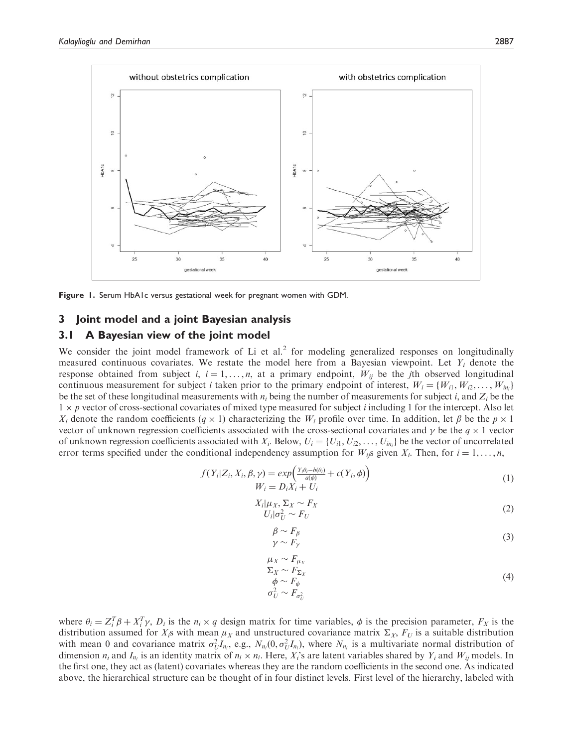

Figure 1. Serum HbA1c versus gestational week for pregnant women with GDM.

## 3 Joint model and a joint Bayesian analysis

## 3.1 A Bayesian view of the joint model

We consider the joint model framework of Li et al.<sup>2</sup> for modeling generalized responses on longitudinally measured continuous covariates. We restate the model here from a Bayesian viewpoint. Let  $Y_i$  denote the response obtained from subject i,  $i = 1, \ldots, n$ , at a primary endpoint,  $W_{ij}$  be the jth observed longitudinal continuous measurement for subject *i* taken prior to the primary endpoint of interest,  $W_i = \{W_{i1}, W_{i2}, \ldots, W_{in_i}\}$ be the set of these longitudinal measurements with  $n_i$  being the number of measurements for subject i, and  $Z_i$  be the  $1 \times p$  vector of cross-sectional covariates of mixed type measured for subject *i* including 1 for the intercept. Also let  $X_i$  denote the random coefficients  $(q \times 1)$  characterizing the  $W_i$  profile over time. In addition, let  $\beta$  be the  $p \times 1$ vector of unknown regression coefficients associated with the cross-sectional covariates and  $\gamma$  be the  $q \times 1$  vector of unknown regression coefficients associated with  $X_i$ . Below,  $U_i = \{U_{i1}, U_{i2}, \dots, U_{in_i}\}\$ be the vector of uncorrelated error terms specified under the conditional independency assumption for  $W_{ij}$ s given  $X_i$ . Then, for  $i = 1, \ldots, n$ ,

$$
f(Y_i|Z_i, X_i, \beta, \gamma) = exp\left(\frac{Y_i\theta_i - b(\theta_i)}{a(\phi)} + c(Y_i, \phi)\right)
$$
  
\n
$$
W_i = D_i X_i + U_i
$$
\n(1)

$$
X_i|\mu_X, \Sigma_X \sim F_X
$$
  
\n
$$
U_i|\sigma_U^2 \sim F_U
$$
\n(2)

$$
\begin{aligned}\n\beta &\sim F_{\beta} \\
\gamma &\sim F_{\gamma}\n\end{aligned}\n\tag{3}
$$

$$
\mu_X \sim F_{\mu_X} \n\Sigma_X \sim F_{\Sigma_X} \n\phi \sim F_{\phi} \n\sigma_U^2 \sim F_{\sigma_U^2}
$$
\n(4)

where  $\theta_i = Z_i^T \beta + X_i^T \gamma$ ,  $D_i$  is the  $n_i \times q$  design matrix for time variables,  $\phi$  is the precision parameter,  $F_X$  is the distribution assumed for  $X_i$ s with mean  $\mu_X$  and unstructured covariance matrix  $\Sigma_X$ ,  $F_U$  is a suitable distribution with mean 0 and covariance matrix  $\sigma_U^2 I_{n_i}$ , e.g.,  $N_{n_i}(0, \sigma_U^2 I_{n_i})$ , where  $N_{n_i}$  is a multivariate normal distribution of dimension  $n_i$  and  $I_{n_i}$  is an identity matrix of  $n_i \times n_i$ . Here,  $X_i$ 's are latent variables shared by  $Y_i$  and  $W_{ij}$  models. In the first one, they act as (latent) covariates whereas they are the random coefficients in the second one. As indicated above, the hierarchical structure can be thought of in four distinct levels. First level of the hierarchy, labeled with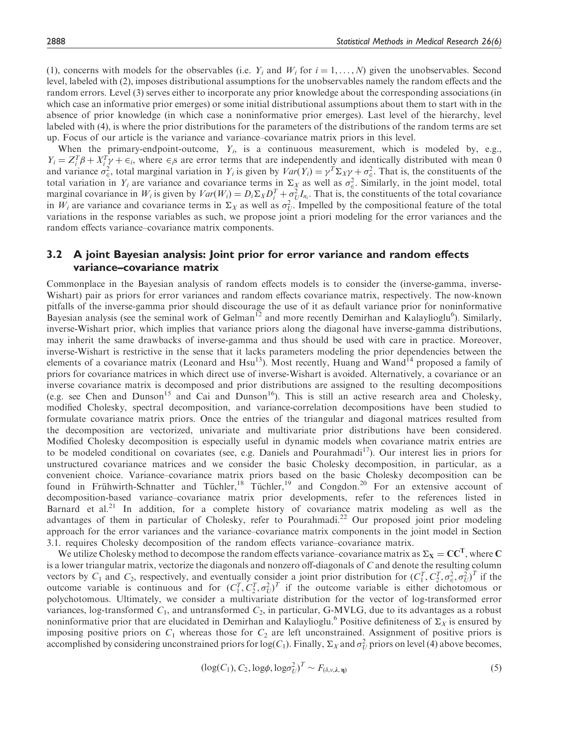(1), concerns with models for the observables (i.e.  $Y_i$  and  $W_i$  for  $i = 1, \ldots, N$ ) given the unobservables. Second level, labeled with (2), imposes distributional assumptions for the unobservables namely the random effects and the random errors. Level (3) serves either to incorporate any prior knowledge about the corresponding associations (in which case an informative prior emerges) or some initial distributional assumptions about them to start with in the absence of prior knowledge (in which case a noninformative prior emerges). Last level of the hierarchy, level labeled with (4), is where the prior distributions for the parameters of the distributions of the random terms are set up. Focus of our article is the variance and variance–covariance matrix priors in this level.

When the primary-endpoint-outcome,  $Y_i$ , is a continuous measurement, which is modeled by, e.g.,  $Y_i = Z_i^T \beta + X_i^T \gamma + \epsilon_i$ , where  $\epsilon_i$  are error terms that are independently and identically distributed with mean 0 and variance  $\sigma_{\epsilon}^2$ , total marginal variation in  $Y_i$  is given by  $Var(Y_i) = \gamma^T \Sigma_X \gamma + \sigma_{\epsilon}^2$ . That is, the constituents of the total variation in  $Y_i$  are variance and covariance terms in  $\Sigma_X$  as well as  $\sigma_{\epsilon}^2$ . Similarly, in the joint model, total marginal covariance in W<sub>i</sub> is given by  $Var(W_i) = D_i \Sigma_X D_i^T + \sigma_U^2 I_{n_i}$ . That is, the constituents of the total covariance in  $W_i$  are variance and covariance terms in  $\Sigma_X$  as well as  $\sigma_U^2$ . Impelled by the compositional feature of the total variations in the response variables as such, we propose joint a priori modeling for the error variances and the random effects variance–covariance matrix components.

## 3.2 A joint Bayesian analysis: Joint prior for error variance and random effects variance–covariance matrix

Commonplace in the Bayesian analysis of random effects models is to consider the (inverse-gamma, inverse-Wishart) pair as priors for error variances and random effects covariance matrix, respectively. The now-known pitfalls of the inverse-gamma prior should discourage the use of it as default variance prior for noninformative Bayesian analysis (see the seminal work of Gelman<sup>12</sup> and more recently Demirhan and Kalaylioglu<sup>6</sup>). Similarly, inverse-Wishart prior, which implies that variance priors along the diagonal have inverse-gamma distributions, may inherit the same drawbacks of inverse-gamma and thus should be used with care in practice. Moreover, inverse-Wishart is restrictive in the sense that it lacks parameters modeling the prior dependencies between the elements of a covariance matrix (Leonard and Hsu<sup>13</sup>). Most recently, Huang and Wand<sup>14</sup> proposed a family of priors for covariance matrices in which direct use of inverse-Wishart is avoided. Alternatively, a covariance or an inverse covariance matrix is decomposed and prior distributions are assigned to the resulting decompositions (e.g. see Chen and Dunson<sup>15</sup> and Cai and Dunson<sup>16</sup>). This is still an active research area and Cholesky, modified Cholesky, spectral decomposition, and variance-correlation decompositions have been studied to formulate covariance matrix priors. Once the entries of the triangular and diagonal matrices resulted from the decomposition are vectorized, univariate and multivariate prior distributions have been considered. Modified Cholesky decomposition is especially useful in dynamic models when covariance matrix entries are to be modeled conditional on covariates (see, e.g. Daniels and Pourahmadi<sup>17</sup>). Our interest lies in priors for unstructured covariance matrices and we consider the basic Cholesky decomposition, in particular, as a convenient choice. Variance–covariance matrix priors based on the basic Cholesky decomposition can be found in Frühwirth-Schnatter and Tüchler,<sup>18</sup> Tüchler,<sup>19</sup> and Congdon.<sup>20</sup> For an extensive account of decomposition-based variance–covariance matrix prior developments, refer to the references listed in Barnard et al.<sup>21</sup> In addition, for a complete history of covariance matrix modeling as well as the advantages of them in particular of Cholesky, refer to Pourahmadi.<sup>22</sup> Our proposed joint prior modeling approach for the error variances and the variance–covariance matrix components in the joint model in Section 3.1. requires Cholesky decomposition of the random effects variance–covariance matrix.

We utilize Cholesky method to decompose the random effects variance–covariance matrix as  $\Sigma_X = CC^T$ , where C is a lower triangular matrix, vectorize the diagonals and nonzero off-diagonals of C and denote the resulting column vectors by  $C_1$  and  $C_2$ , respectively, and eventually consider a joint prior distribution for  $(C_1^T, C_2^T, \sigma_{\epsilon}^2, \sigma_U^2)^T$  if the outcome variable is continuous and for  $(C_1^T, C_2^T, \sigma_U^2)^T$  if the outcome variable is either dichotomous or polychotomous. Ultimately, we consider a multivariate distribution for the vector of log-transformed error variances, log-transformed  $C_1$ , and untransformed  $C_2$ , in particular, G-MVLG, due to its advantages as a robust noninformative prior that are elucidated in Demirhan and Kalaylioglu.<sup>6</sup> Positive definiteness of  $\Sigma_X$  is ensured by imposing positive priors on  $C_1$  whereas those for  $C_2$  are left unconstrained. Assignment of positive priors is accomplished by considering unconstrained priors for log(C<sub>1</sub>). Finally,  $\Sigma_X$  and  $\sigma_U^2$  priors on level (4) above becomes,

$$
(\log(C_1), C_2, \log \phi, \log \sigma_U^2)^T \sim F_{(\delta, v, \lambda, \eta)}
$$
\n
$$
(5)
$$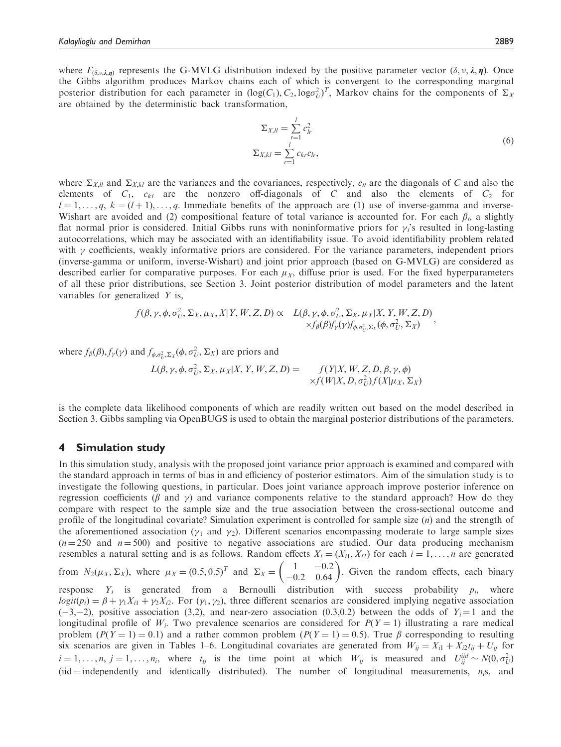where  $F_{(\delta,\nu,\lambda,\eta)}$  represents the G-MVLG distribution indexed by the positive parameter vector  $(\delta,\nu,\lambda,\eta)$ . Once the Gibbs algorithm produces Markov chains each of which is convergent to the corresponding marginal posterior distribution for each parameter in  $(\log(C_1), C_2, \log \sigma_U^2)^T$ , Markov chains for the components of  $\Sigma_X$ are obtained by the deterministic back transformation,

$$
\Sigma_{X,ll} = \sum_{r=1}^{l} c_{lr}^{2}
$$
  

$$
\Sigma_{X,kl} = \sum_{r=1}^{l} c_{kr} c_{lr},
$$
 (6)

where  $\Sigma_{X,\ell l}$  and  $\Sigma_{X,\ell l}$  are the variances and the covariances, respectively,  $c_{\ell l}$  are the diagonals of C and also the elements of  $C_1$ ,  $c_{kl}$  are the nonzero off-diagonals of C and also the elements of  $C_2$  for  $l = 1, \ldots, q, k = (l + 1), \ldots, q$ . Immediate benefits of the approach are (1) use of inverse-gamma and inverse-Wishart are avoided and (2) compositional feature of total variance is accounted for. For each  $\beta_i$ , a slightly flat normal prior is considered. Initial Gibbs runs with noninformative priors for  $\gamma_i$ 's resulted in long-lasting autocorrelations, which may be associated with an identifiability issue. To avoid identifiability problem related with  $\gamma$  coefficients, weakly informative priors are considered. For the variance parameters, independent priors (inverse-gamma or uniform, inverse-Wishart) and joint prior approach (based on G-MVLG) are considered as described earlier for comparative purposes. For each  $\mu_X$ , diffuse prior is used. For the fixed hyperparameters of all these prior distributions, see Section 3. Joint posterior distribution of model parameters and the latent variables for generalized Y is,

$$
f(\beta, \gamma, \phi, \sigma_U^2, \Sigma_X, \mu_X, X | Y, W, Z, D) \propto L(\beta, \gamma, \phi, \sigma_U^2, \Sigma_X, \mu_X | X, Y, W, Z, D) \times f_\beta(\beta) f_\gamma(\gamma) f_{\phi, \sigma_U^2, \Sigma_X}(\phi, \sigma_U^2, \Sigma_X)
$$

where  $f_{\beta}(\beta), f_{\gamma}(\gamma)$  and  $f_{\phi, \sigma_U^2, \Sigma_X}(\phi, \sigma_U^2, \Sigma_X)$  are priors and

$$
L(\beta, \gamma, \phi, \sigma_U^2, \Sigma_X, \mu_X | X, Y, W, Z, D) = f(Y | X, W, Z, D, \beta, \gamma, \phi) \times f(W | X, D, \sigma_U^2) f(X | \mu_X, \Sigma_X)
$$

is the complete data likelihood components of which are readily written out based on the model described in Section 3. Gibbs sampling via OpenBUGS is used to obtain the marginal posterior distributions of the parameters.

#### 4 Simulation study

In this simulation study, analysis with the proposed joint variance prior approach is examined and compared with the standard approach in terms of bias in and efficiency of posterior estimators. Aim of the simulation study is to investigate the following questions, in particular. Does joint variance approach improve posterior inference on regression coefficients ( $\beta$  and  $\gamma$ ) and variance components relative to the standard approach? How do they compare with respect to the sample size and the true association between the cross-sectional outcome and profile of the longitudinal covariate? Simulation experiment is controlled for sample size  $(n)$  and the strength of the aforementioned association ( $\gamma_1$  and  $\gamma_2$ ). Different scenarios encompassing moderate to large sample sizes  $(n = 250 \text{ and } n = 500)$  and positive to negative associations are studied. Our data producing mechanism resembles a natural setting and is as follows. Random effects  $X_i = (X_{i1}, X_{i2})$  for each  $i = 1, ..., n$  are generated from  $N_2(\mu_X, \Sigma_X)$ , where  $\mu_X = (0.5, 0.5)^T$  and  $\Sigma_X = \begin{pmatrix} 1 & -0.2 \\ -0.2 & 0.64 \end{pmatrix}$ . Given the random effects, each binary response  $Y_i$  is generated from a Bernoulli distribution with success probability  $p_i$ , where  $logit(p_i) = \beta + \gamma_1 X_{i1} + \gamma_2 X_{i2}$ . For  $(\gamma_1, \gamma_2)$ , three different scenarios are considered implying negative association  $(-3,-2)$ , positive association (3,2), and near-zero association (0.3,0.2) between the odds of  $Y_i = 1$  and the longitudinal profile of  $W_i$ . Two prevalence scenarios are considered for  $P(Y = 1)$  illustrating a rare medical problem  $(P(Y = 1) = 0.1)$  and a rather common problem  $(P(Y = 1) = 0.5)$ . True  $\beta$  corresponding to resulting six scenarios are given in Tables 1–6. Longitudinal covariates are generated from  $W_{ij} = X_{i1} + X_{i2}t_{ij} + U_{ij}$  for  $i = 1, \dots, n, j = 1, \dots, n_i$ , where  $t_{ij}$  is the time point at which  $W_{ij}$  is measured and  $U_{ij}^{iid} \sim N(0, \sigma_U^2)$ (iid = independently and identically distributed). The number of longitudinal measurements,  $n_i$ s, and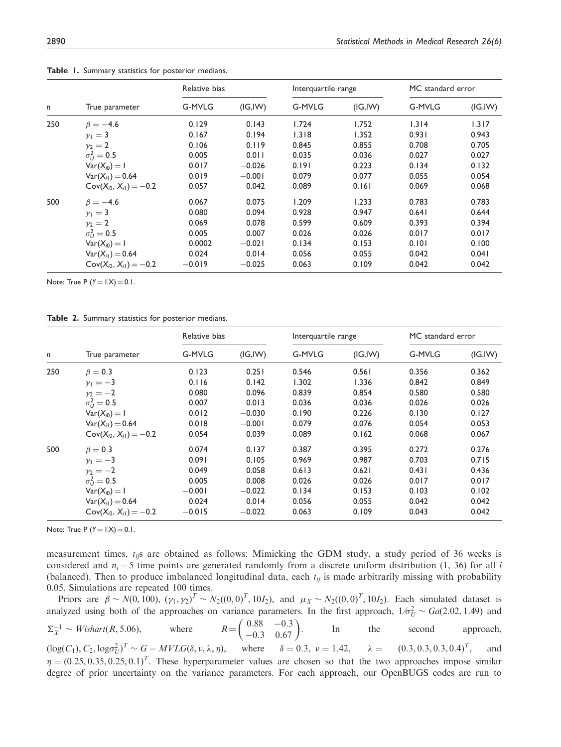|     | True parameter               | Relative bias |                  | Interquartile range |           | MC standard error |                  |
|-----|------------------------------|---------------|------------------|---------------------|-----------|-------------------|------------------|
| n   |                              | <b>G-MVLG</b> | (IG, <i>IN</i> ) | G-MVLG              | (IG, IVV) | <b>G-MVLG</b>     | (IG, <i>IW</i> ) |
| 250 | $\beta = -4.6$               | 0.129         | 0.143            | 1.724               | 1.752     | 1.314             | 1.317            |
|     | $y_1 = 3$                    | 0.167         | 0.194            | 1.318               | 1.352     | 0.931             | 0.943            |
|     | $v_2 = 2$                    | 0.106         | 0.119            | 0.845               | 0.855     | 0.708             | 0.705            |
|     | $\sigma_{II}^2 = 0.5$        | 0.005         | 0.011            | 0.035               | 0.036     | 0.027             | 0.027            |
|     | $Var(X_{i0}) = 1$            | 0.017         | $-0.026$         | 0.191               | 0.223     | 0.134             | 0.132            |
|     | $Var(X_{i1}) = 0.64$         | 0.019         | $-0.001$         | 0.079               | 0.077     | 0.055             | 0.054            |
|     | $Cov(X_{i0}, X_{i1}) = -0.2$ | 0.057         | 0.042            | 0.089               | 0.161     | 0.069             | 0.068            |
| 500 | $\beta = -4.6$               | 0.067         | 0.075            | 1.209               | 1.233     | 0.783             | 0.783            |
|     | $y_1 = 3$                    | 0.080         | 0.094            | 0.928               | 0.947     | 0.641             | 0.644            |
|     | $y_2 = 2$                    | 0.069         | 0.078            | 0.599               | 0.609     | 0.393             | 0.394            |
|     | $\sigma_{II}^2 = 0.5$        | 0.005         | 0.007            | 0.026               | 0.026     | 0.017             | 0.017            |
|     | $Var(X_{i0}) = 1$            | 0.0002        | $-0.021$         | 0.134               | 0.153     | 0.101             | 0.100            |
|     | $Var(X_{i1}) = 0.64$         | 0.024         | 0.014            | 0.056               | 0.055     | 0.042             | 0.041            |
|     | $Cov(X_{i0}, X_{i1}) = -0.2$ | $-0.019$      | $-0.025$         | 0.063               | 0.109     | 0.042             | 0.042            |

Table 1. Summary statistics for posterior medians.

Note: True P  $(Y = 1|X) = 0.1$ .

Table 2. Summary statistics for posterior medians.

|     | True parameter               | Relative bias |          | Interquartile range |          | MC standard error |                  |
|-----|------------------------------|---------------|----------|---------------------|----------|-------------------|------------------|
| n   |                              | <b>G-MVLG</b> | (IG, IW) | <b>G-MVLG</b>       | (IG, IW) | <b>G-MVLG</b>     | (IG, <i>IV</i> ) |
| 250 | $\beta = 0.3$                | 0.123         | 0.251    | 0.546               | 0.561    | 0.356             | 0.362            |
|     | $y_1 = -3$                   | 0.116         | 0.142    | 1.302               | 1.336    | 0.842             | 0.849            |
|     | $v_2 = -2$                   | 0.080         | 0.096    | 0.839               | 0.854    | 0.580             | 0.580            |
|     | $\sigma_{11}^2 = 0.5$        | 0.007         | 0.013    | 0.036               | 0.036    | 0.026             | 0.026            |
|     | $Var(X_{i0}) = 1$            | 0.012         | $-0.030$ | 0.190               | 0.226    | 0.130             | 0.127            |
|     | $Var(X_{i1}) = 0.64$         | 0.018         | $-0.001$ | 0.079               | 0.076    | 0.054             | 0.053            |
|     | $Cov(X_{i0}, X_{i1}) = -0.2$ | 0.054         | 0.039    | 0.089               | 0.162    | 0.068             | 0.067            |
| 500 | $\beta = 0.3$                | 0.074         | 0.137    | 0.387               | 0.395    | 0.272             | 0.276            |
|     | $y_1 = -3$                   | 0.091         | 0.105    | 0.969               | 0.987    | 0.703             | 0.715            |
|     | $v_2 = -2$                   | 0.049         | 0.058    | 0.613               | 0.621    | 0.431             | 0.436            |
|     | $\sigma_{II}^2 = 0.5$        | 0.005         | 0.008    | 0.026               | 0.026    | 0.017             | 0.017            |
|     | $Var(X_{i0}) = 1$            | $-0.001$      | $-0.022$ | 0.134               | 0.153    | 0.103             | 0.102            |
|     | $Var(X_{i1}) = 0.64$         | 0.024         | 0.014    | 0.056               | 0.055    | 0.042             | 0.042            |
|     | $Cov(X_{i0}, X_{i1}) = -0.2$ | $-0.015$      | $-0.022$ | 0.063               | 0.109    | 0.043             | 0.042            |

Note: True P  $(Y = I|X) = 0.1$ .

measurement times,  $t_{ij}$ s are obtained as follows: Mimicking the GDM study, a study period of 36 weeks is considered and  $n_i = 5$  time points are generated randomly from a discrete uniform distribution (1, 36) for all i (balanced). Then to produce imbalanced longitudinal data, each  $t_{ij}$  is made arbitrarily missing with probability 0.05. Simulations are repeated 100 times.

Priors are  $\beta \sim N(0, 100)$ ,  $(\gamma_1, \gamma_2)^T \sim N_2((0, 0)^T, 10I_2)$ , and  $\mu_X \sim N_2((0, 0)^T, 10I_2)$ . Each simulated dataset is analyzed using both of the approaches on variance parameters. In the first approach,  $1/\sigma_U^2 \sim Ga(2.02, 1.49)$  and  $\Sigma_X^{-1} \sim \text{Wishart}(R, 5.06)$ , where  $R = \begin{pmatrix} 0.88 & -0.3 \\ -0.3 & 0.67 \end{pmatrix}$  $R = \begin{pmatrix} 0.88 & -0.3 \\ -0.3 & 0.67 \end{pmatrix}$ . In the second approach,  $(\log(C_1), C_2, \log \sigma_U^2)^T \sim G - MVLG(\delta, \nu, \lambda, \eta)$ , where  $\delta = 0.3$ ,  $\nu = 1.42$ ,  $\lambda$  $(0.3, 0.3, 0.3, 0.4)^T$ , and  $\eta = (0.25, 0.35, 0.25, 0.1)^T$ . These hyperparameter values are chosen so that the two approaches impose similar degree of prior uncertainty on the variance parameters. For each approach, our OpenBUGS codes are run to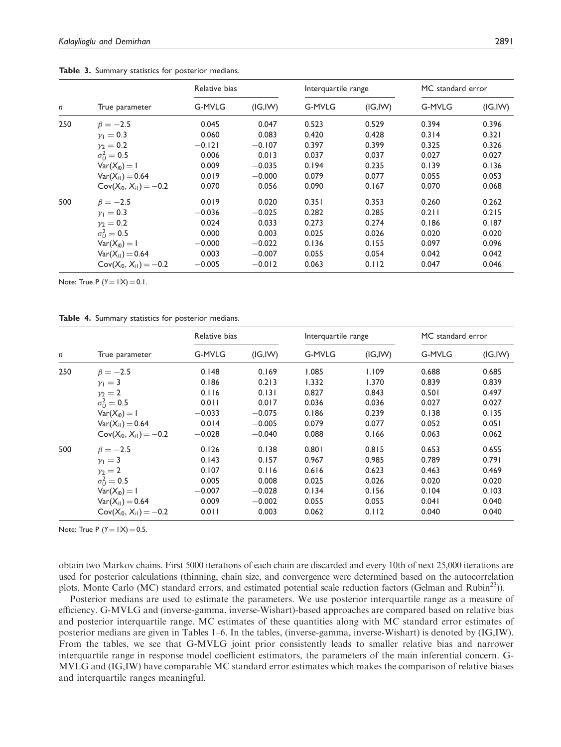Table 3. Summary statistics for posterior medians.

|              | True parameter               | Relative bias |          | Interquartile range |                  | MC standard error |                  |
|--------------|------------------------------|---------------|----------|---------------------|------------------|-------------------|------------------|
| $\mathsf{n}$ |                              | <b>G-MVLG</b> | (IG, IW) | G-MVLG              | (IG, <i>IN</i> ) | <b>G-MVLG</b>     | (IG, <i>IW</i> ) |
| 250          | $\beta = -2.5$               | 0.045         | 0.047    | 0.523               | 0.529            | 0.394             | 0.396            |
|              | $v_1 = 0.3$                  | 0.060         | 0.083    | 0.420               | 0.428            | 0.314             | 0.321            |
|              | $v_2 = 0.2$                  | $-0.121$      | $-0.107$ | 0.397               | 0.399            | 0.325             | 0.326            |
|              | $\sigma_{II}^2 = 0.5$        | 0.006         | 0.013    | 0.037               | 0.037            | 0.027             | 0.027            |
|              | $Var(X_{i0}) = 1$            | 0.009         | $-0.035$ | 0.194               | 0.235            | 0.139             | 0.136            |
|              | $Var(X_{i1}) = 0.64$         | 0.019         | $-0.000$ | 0.079               | 0.077            | 0.055             | 0.053            |
|              | $Cov(X_{i0}, X_{i1}) = -0.2$ | 0.070         | 0.056    | 0.090               | 0.167            | 0.070             | 0.068            |
| 500          | $\beta = -2.5$               | 0.019         | 0.020    | 0.351               | 0.353            | 0.260             | 0.262            |
|              | $\gamma_1 = 0.3$             | $-0.036$      | $-0.025$ | 0.282               | 0.285            | 0.211             | 0.215            |
|              | $v_2 = 0.2$                  | 0.024         | 0.033    | 0.273               | 0.274            | 0.186             | 0.187            |
|              | $\sigma_{II}^2 = 0.5$        | 0.000         | 0.003    | 0.025               | 0.026            | 0.020             | 0.020            |
|              | $Var(X_{i0}) = 1$            | $-0.000$      | $-0.022$ | 0.136               | 0.155            | 0.097             | 0.096            |
|              | $Var(X_{i1}) = 0.64$         | 0.003         | $-0.007$ | 0.055               | 0.054            | 0.042             | 0.042            |
|              | $Cov(X_{i0}, X_{i1}) = -0.2$ | $-0.005$      | $-0.012$ | 0.063               | 0.112            | 0.047             | 0.046            |

Note: True P  $(Y = 1|X) = 0.1$ .

Table 4. Summary statistics for posterior medians.

|     | True parameter               | Relative bias |                  | Interquartile range |                  | MC standard error |                  |
|-----|------------------------------|---------------|------------------|---------------------|------------------|-------------------|------------------|
| n   |                              | <b>G-MVLG</b> | (IG, <i>IN</i> ) | <b>G-MVLG</b>       | (IG, <i>IN</i> ) | <b>G-MVLG</b>     | (IG, <i>IV</i> ) |
| 250 | $\beta = -2.5$               | 0.148         | 0.169            | 1.085               | 1.109            | 0.688             | 0.685            |
|     | $y_1 = 3$                    | 0.186         | 0.213            | 1.332               | 1.370            | 0.839             | 0.839            |
|     | $y_2 = 2$                    | 0.116         | 0.131            | 0.827               | 0.843            | 0.501             | 0.497            |
|     | $\sigma_{II}^2 = 0.5$        | 0.011         | 0.017            | 0.036               | 0.036            | 0.027             | 0.027            |
|     | $Var(X_{i0}) = 1$            | $-0.033$      | $-0.075$         | 0.186               | 0.239            | 0.138             | 0.135            |
|     | $Var(X_{i1}) = 0.64$         | 0.014         | $-0.005$         | 0.079               | 0.077            | 0.052             | 0.051            |
|     | $Cov(X_{i0}, X_{i1}) = -0.2$ | $-0.028$      | $-0.040$         | 0.088               | 0.166            | 0.063             | 0.062            |
| 500 | $\beta = -2.5$               | 0.126         | 0.138            | 0.801               | 0.815            | 0.653             | 0.655            |
|     | $\gamma_1 = 3$               | 0.143         | 0.157            | 0.967               | 0.985            | 0.789             | 0.791            |
|     | $y_2 = 2$                    | 0.107         | 0.116            | 0.616               | 0.623            | 0.463             | 0.469            |
|     | $\sigma_{II}^2 = 0.5$        | 0.005         | 0.008            | 0.025               | 0.026            | 0.020             | 0.020            |
|     | $Var(X_{i0}) = 1$            | $-0.007$      | $-0.028$         | 0.134               | 0.156            | 0.104             | 0.103            |
|     | $Var(X_{i1}) = 0.64$         | 0.009         | $-0.002$         | 0.055               | 0.055            | 0.041             | 0.040            |
|     | $Cov(X_{i0}, X_{i1}) = -0.2$ | 0.011         | 0.003            | 0.062               | 0.112            | 0.040             | 0.040            |

Note: True P  $(Y = 1|X) = 0.5$ .

obtain two Markov chains. First 5000 iterations of each chain are discarded and every 10th of next 25,000 iterations are used for posterior calculations (thinning, chain size, and convergence were determined based on the autocorrelation plots, Monte Carlo (MC) standard errors, and estimated potential scale reduction factors (Gelman and Rubin<sup>23</sup>).

Posterior medians are used to estimate the parameters. We use posterior interquartile range as a measure of efficiency. G-MVLG and (inverse-gamma, inverse-Wishart)-based approaches are compared based on relative bias and posterior interquartile range. MC estimates of these quantities along with MC standard error estimates of posterior medians are given in Tables 1–6. In the tables, (inverse-gamma, inverse-Wishart) is denoted by (IG,IW). From the tables, we see that G-MVLG joint prior consistently leads to smaller relative bias and narrower interquartile range in response model coefficient estimators, the parameters of the main inferential concern. G-MVLG and (IG,IW) have comparable MC standard error estimates which makes the comparison of relative biases and interquartile ranges meaningful.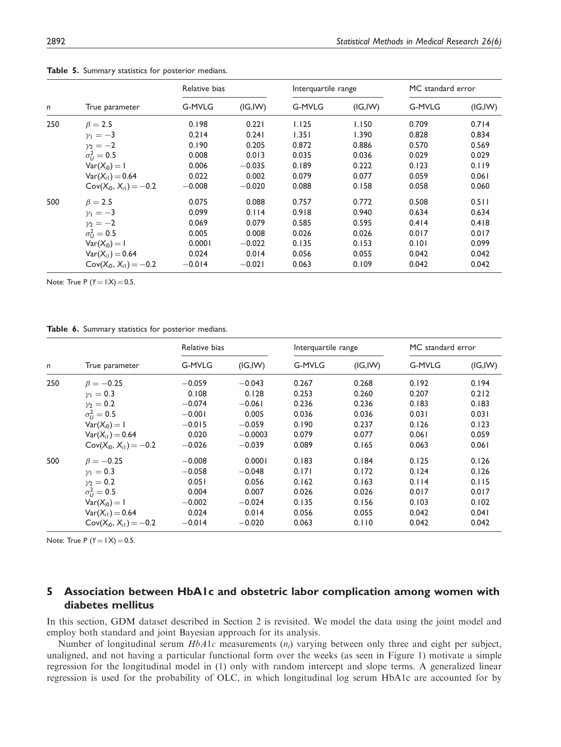|     | True parameter               | Relative bias |                  | Interquartile range |                  | MC standard error |                  |
|-----|------------------------------|---------------|------------------|---------------------|------------------|-------------------|------------------|
| n   |                              | <b>G-MVLG</b> | (IG, <i>IN</i> ) | <b>G-MVLG</b>       | (IG, <i>IN</i> ) | <b>G-MVLG</b>     | (IG, <i>IW</i> ) |
| 250 | $\beta = 2.5$                | 0.198         | 0.221            | 1.125               | 1.150            | 0.709             | 0.714            |
|     | $y_1 = -3$                   | 0.214         | 0.241            | 1.351               | 1.390            | 0.828             | 0.834            |
|     | $v_2 = -2$                   | 0.190         | 0.205            | 0.872               | 0.886            | 0.570             | 0.569            |
|     | $\sigma_{II}^2 = 0.5$        | 0.008         | 0.013            | 0.035               | 0.036            | 0.029             | 0.029            |
|     | $Var(X_{i0}) = 1$            | 0.006         | $-0.035$         | 0.189               | 0.222            | 0.123             | 0.119            |
|     | $Var(X_{i1}) = 0.64$         | 0.022         | 0.002            | 0.079               | 0.077            | 0.059             | 0.061            |
|     | $Cov(X_{i0}, X_{i1}) = -0.2$ | $-0.008$      | $-0.020$         | 0.088               | 0.158            | 0.058             | 0.060            |
| 500 | $\beta = 2.5$                | 0.075         | 0.088            | 0.757               | 0.772            | 0.508             | 0.511            |
|     | $y_1 = -3$                   | 0.099         | 0.114            | 0.918               | 0.940            | 0.634             | 0.634            |
|     | $v_2 = -2$                   | 0.069         | 0.079            | 0.585               | 0.595            | 0.414             | 0.418            |
|     | $\sigma_{II}^2 = 0.5$        | 0.005         | 0.008            | 0.026               | 0.026            | 0.017             | 0.017            |
|     | $Var(X_{i0}) = 1$            | 0.0001        | $-0.022$         | 0.135               | 0.153            | 0.101             | 0.099            |
|     | $Var(X_{i1}) = 0.64$         | 0.024         | 0.014            | 0.056               | 0.055            | 0.042             | 0.042            |
|     | $Cov(X_{i0}, X_{i1}) = -0.2$ | $-0.014$      | $-0.021$         | 0.063               | 0.109            | 0.042             | 0.042            |

Table 5. Summary statistics for posterior medians.

Note: True P  $(Y = 1|X) = 0.5$ .

Table 6. Summary statistics for posterior medians.

|     | True parameter               | Relative bias |                  | Interquartile range |                  | MC standard error |                  |
|-----|------------------------------|---------------|------------------|---------------------|------------------|-------------------|------------------|
| n   |                              | <b>G-MVLG</b> | (IG, <i>IN</i> ) | <b>G-MVLG</b>       | (IG, <i>IN</i> ) | <b>G-MVLG</b>     | (IG, <i>IV</i> ) |
| 250 | $\beta = -0.25$              | $-0.059$      | $-0.043$         | 0.267               | 0.268            | 0.192             | 0.194            |
|     | $y_1 = 0.3$                  | 0.108         | 0.128            | 0.253               | 0.260            | 0.207             | 0.212            |
|     | $v_2 = 0.2$                  | $-0.074$      | $-0.061$         | 0.236               | 0.236            | 0.183             | 0.183            |
|     | $\sigma_{11}^2 = 0.5$        | $-0.001$      | 0.005            | 0.036               | 0.036            | 0.031             | 0.031            |
|     | $Var(X_{i0}) = 1$            | $-0.015$      | $-0.059$         | 0.190               | 0.237            | 0.126             | 0.123            |
|     | $Var(X_{i1}) = 0.64$         | 0.020         | $-0.0003$        | 0.079               | 0.077            | 0.061             | 0.059            |
|     | $Cov(X_{i0}, X_{i1}) = -0.2$ | $-0.026$      | $-0.039$         | 0.089               | 0.165            | 0.063             | 0.061            |
| 500 | $\beta = -0.25$              | $-0.008$      | 0.0001           | 0.183               | 0.184            | 0.125             | 0.126            |
|     | $v_1 = 0.3$                  | $-0.058$      | $-0.048$         | 0.171               | 0.172            | 0.124             | 0.126            |
|     | $v_2 = 0.2$                  | 0.051         | 0.056            | 0.162               | 0.163            | 0.114             | 0.115            |
|     | $\sigma_{II}^2 = 0.5$        | 0.004         | 0.007            | 0.026               | 0.026            | 0.017             | 0.017            |
|     | $Var(X_{i0}) = 1$            | $-0.002$      | $-0.024$         | 0.135               | 0.156            | 0.103             | 0.102            |
|     | $Var(X_{i1}) = 0.64$         | 0.024         | 0.014            | 0.056               | 0.055            | 0.042             | 0.041            |
|     | $Cov(X_{i0}, X_{i1}) = -0.2$ | $-0.014$      | $-0.020$         | 0.063               | 0.110            | 0.042             | 0.042            |

Note: True P  $(Y = I|X) = 0.5$ .

# 5 Association between HbA1c and obstetric labor complication among women with diabetes mellitus

In this section, GDM dataset described in Section 2 is revisited. We model the data using the joint model and employ both standard and joint Bayesian approach for its analysis.

Number of longitudinal serum  $HbA1c$  measurements  $(n<sub>i</sub>)$  varying between only three and eight per subject, unaligned, and not having a particular functional form over the weeks (as seen in Figure 1) motivate a simple regression for the longitudinal model in (1) only with random intercept and slope terms. A generalized linear regression is used for the probability of OLC, in which longitudinal log serum HbA1c are accounted for by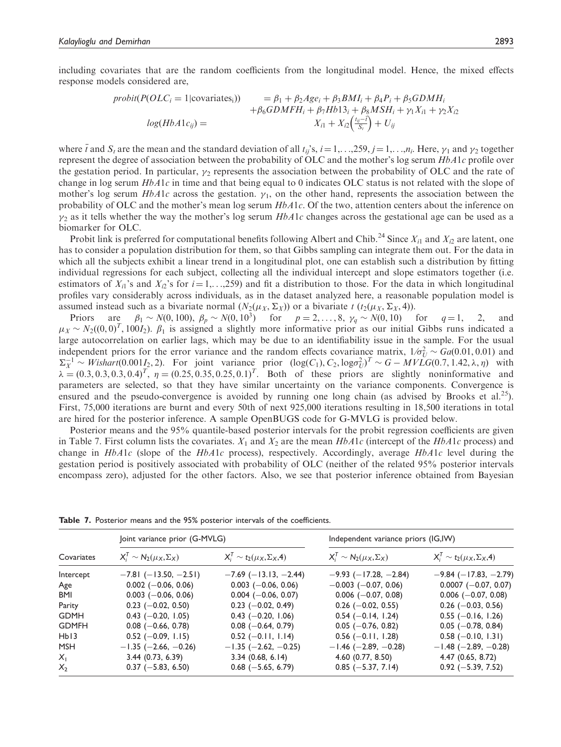including covariates that are the random coefficients from the longitudinal model. Hence, the mixed effects response models considered are,

$$
probit(P(OLC_i = 1 | covariates_i)) = \beta_1 + \beta_2 Age_i + \beta_3 BMI_i + \beta_4 P_i + \beta_5 GDMH_i
$$
  
+  $\beta_6 GDMFH_i + \beta_7 Hb13_i + \beta_8 MSH_i + \gamma_1 X_{i1} + \gamma_2 X_{i2}$   

$$
log(HbA1c_{ij}) = X_{i1} + X_{i2} \left(\frac{t_{ij} - \tilde{t}}{S_i}\right) + U_{ij}
$$

where  $\bar{t}$  and  $S_t$  are the mean and the standard deviation of all  $t_{ij}$ 's,  $i = 1, \ldots, 259, j = 1, \ldots, n_i$ . Here,  $\gamma_1$  and  $\gamma_2$  together represent the degree of association between the probability of OLC and the mother's log serum HbA1c profile over the gestation period. In particular,  $\gamma_2$  represents the association between the probability of OLC and the rate of change in log serum HbA1c in time and that being equal to 0 indicates OLC status is not related with the slope of mother's log serum  $HbA1c$  across the gestation.  $\gamma_1$ , on the other hand, represents the association between the probability of OLC and the mother's mean log serum HbA1c. Of the two, attention centers about the inference on  $\gamma_2$  as it tells whether the way the mother's log serum  $HbA1c$  changes across the gestational age can be used as a biomarker for OLC.

Probit link is preferred for computational benefits following Albert and Chib.<sup>24</sup> Since  $X_{i1}$  and  $X_{i2}$  are latent, one has to consider a population distribution for them, so that Gibbs sampling can integrate them out. For the data in which all the subjects exhibit a linear trend in a longitudinal plot, one can establish such a distribution by fitting individual regressions for each subject, collecting all the individual intercept and slope estimators together (i.e. estimators of  $X_{i1}$ 's and  $X_{i2}$ 's for  $i = 1,...,259$ ) and fit a distribution to those. For the data in which longitudinal profiles vary considerably across individuals, as in the dataset analyzed here, a reasonable population model is assumed instead such as a bivariate normal  $(N_2(\mu_X, \Sigma_X))$  or a bivariate  $t$  ( $t_2(\mu_X, \Sigma_X, 4)$ ).

Priors are  $\beta_1 \sim N(0, 100)$ ,  $\beta_p \sim N(0, 10^3)$  for  $p = 2, ..., 8$ ,  $\gamma_q \sim N(0, 10)$  for  $q = 1, 2,$  and  $\mu_X \sim N_2((0,0)^T, 100I_2)$ .  $\beta_1$  is assigned a slightly more informative prior as our initial Gibbs runs indicated a large autocorrelation on earlier lags, which may be due to an identifiability issue in the sample. For the usual independent priors for the error variance and the random effects covariance matrix,  $1/\sigma_U^2 \sim Ga(0.01, 0.01)$  and  $\Sigma_X^{-1} \sim \text{Wishart}(0.001I_2, 2)$ . For joint variance prior  $(\log(C_1), C_2, \log \sigma_U^2)^T \sim G - \text{MVLG}(0.7, 1.42, \lambda, \eta)$  with  $\lambda = (0.3, 0.3, 0.3, 0.4)^T$ ,  $\eta = (0.25, 0.35, 0.25, 0.1)^T$ . Both of these priors are slightly noninformative and parameters are selected, so that they have similar uncertainty on the variance components. Convergence is ensured and the pseudo-convergence is avoided by running one long chain (as advised by Brooks et al.<sup>25</sup>). First, 75,000 iterations are burnt and every 50th of next 925,000 iterations resulting in 18,500 iterations in total are hired for the posterior inference. A sample OpenBUGS code for G-MVLG is provided below.

Posterior means and the 95% quantile-based posterior intervals for the probit regression coefficients are given in Table 7. First column lists the covariates.  $X_1$  and  $X_2$  are the mean  $HbA1c$  (intercept of the  $HbA1c$  process) and change in  $HbA1c$  (slope of the  $HbA1c$  process), respectively. Accordingly, average  $HbA1c$  level during the gestation period is positively associated with probability of OLC (neither of the related 95% posterior intervals encompass zero), adjusted for the other factors. Also, we see that posterior inference obtained from Bayesian

|                  | Joint variance prior (G-MVLG)     |                                      | Independent variance priors (IG,IW) |                                      |  |  |
|------------------|-----------------------------------|--------------------------------------|-------------------------------------|--------------------------------------|--|--|
| Covariates       | $X_i^T \sim N_2(\mu_X, \Sigma_X)$ | $X_i^T \sim t_2(\mu_X, \Sigma_X, 4)$ | $X_i^T \sim N_2(\mu_X, \Sigma_X)$   | $X_i^T \sim t_2(\mu_X, \Sigma_X, 4)$ |  |  |
| Intercept        | $-7.81$ ( $-13.50, -2.51$ )       | $-7.69$ ( $-13.13, -2.44$ )          | $-9.93$ ( $-17.28$ , $-2.84$ )      | $-9.84$ ( $-17.83$ , $-2.79$ )       |  |  |
| Age              | $0.002$ (-0.06, 0.06)             | $0.003$ (-0.06, 0.06)                | $-0.003$ ( $-0.07$ , 0.06)          | $0.0007$ (-0.07, 0.07)               |  |  |
| BMI              | $0.003$ (-0.06, 0.06)             | $0.004$ (-0.06, 0.07)                | $0.006$ (-0.07, 0.08)               | $0.006$ (-0.07, 0.08)                |  |  |
| Parity           | $0.23$ (-0.02, 0.50)              | $0.23$ (-0.02, 0.49)                 | $0.26$ (-0.02, 0.55)                | $0.26$ (-0.03, 0.56)                 |  |  |
| <b>GDMH</b>      | $0.43$ (-0.20, 1.05)              | $0.43$ (-0.20, 1.06)                 | $0.54$ (-0.14, 1.24)                | $0.55$ (-0.16, 1.26)                 |  |  |
| <b>GDMFH</b>     | $0.08$ (-0.66, 0.78)              | $0.08$ (-0.64, 0.79)                 | $0.05$ (-0.76, 0.82)                | $0.05$ (-0.78, 0.84)                 |  |  |
| Hb <sub>13</sub> | $0.52$ (-0.09, 1.15)              | $0.52$ (-0.11, 1.14)                 | $0.56$ (-0.11, 1.28)                | $0.58$ (-0.10, 1.31)                 |  |  |
| <b>MSH</b>       | $-1.35$ ( $-2.66, -0.26$ )        | $-1.35$ (-2.62, -0.25)               | $-1.46$ (-2.89, -0.28)              | $-1.48$ (-2.89, -0.28)               |  |  |
| $X_{\perp}$      | 3.44(0.73, 6.39)                  | $3.34$ (0.68, 6.14)                  | $4.60$ (0.77, 8.50)                 | 4.47(0.65, 8.72)                     |  |  |
| $X_2$            | $0.37$ (-5.83, 6.50)              | $0.68$ (-5.65, 6.79)                 | $0.85$ (-5.37, 7.14)                | $0.92$ (-5.39, 7.52)                 |  |  |

Table 7. Posterior means and the 95% posterior intervals of the coefficients.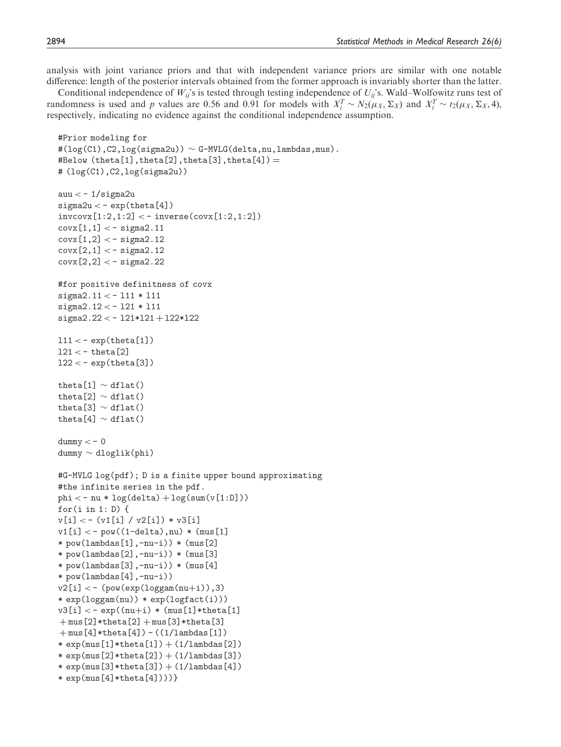analysis with joint variance priors and that with independent variance priors are similar with one notable difference: length of the posterior intervals obtained from the former approach is invariably shorter than the latter.

Conditional independence of  $W_{ij}$ 's is tested through testing independence of  $U_{ij}$ 's. Wald–Wolfowitz runs test of randomness is used and p values are 0.56 and 0.91 for models with  $X_i^T \sim N_2(\mu_X, \Sigma_X)$  and  $X_i^T \sim t_2(\mu_X, \Sigma_X, 4)$ , respectively, indicating no evidence against the conditional independence assumption.

```
#Prior modeling for
#(log(C1), C2, log(sigma2u)) \sim G-MVLG(detta, nu,lambdaas,mus).#Below (theta[1],theta[2],theta[3],theta[4]) =
# (log(C1),C2,log(sigma2u))
auu < -1/sigma2u
sigma2u < - exp(theta[4])invcovx[1:2,1:2] < -inverse(covx[1:2,1:2])covx[1,1] < - sigma2.11
covx[1,2] < - sigma2.12
covx[2,1] < - sigma2.12
covx[2,2] < - sigma2.22
#for positive definitness of covx
sigma2.11 < -111 * 111sigma2.12 < - l21 * l11
sigma2.22 < -121*121 + 122*122111 < - \exp(\text{theta}[1])121 < - theta[2]
122 < - \exp(\text{theta}[3])theta[1] \sim dflat()
theta[2] \sim dflat()
theta[3] \sim dflat()
theta[4] \sim dflat()
dummy <-0dummy \sim dloglik(phi)
#G-MVLG log(pdf); D is a finite upper bound approximating
#the infinite series in the pdf.
phi < -nu * log(detta) + log(sum(v[1:D]))for(i in 1: D) {
v[i] < - (v1[i] / v2[i]) * v3[i]v1[i] < -pow((1-delta),nu) * (mus[1])* pow(lambdas[1],-nu-i)) * (mus[2]
* pow(lambdas[2],-nu-i)) * (mus[3]
* pow(lambdas[3],-nu-i)) * (mus[4]
* pow(lambdas[4],-nu-i))
v2[i] < - (pow(exp(loggam(nu+i)),3)
* exp(loggam(nu)) * exp(logfact(i)))
v3[i] < - exp((nu+i) * (mus[1]*theta[1])+mus[2]*theta[2] +mus[3]*theta[3]
+mus[4]*theta[4]) - ((1/lambdas[1])
* exp(mus[1]*theta[1]) + (1/lambdas[2])
* exp(mus[2]*theta[2]) + (1/lambdas[3])
* exp(mus[3]*theta[3]) + (1/lambdas[4])
* exp(mus[4]*theta[4])))}
```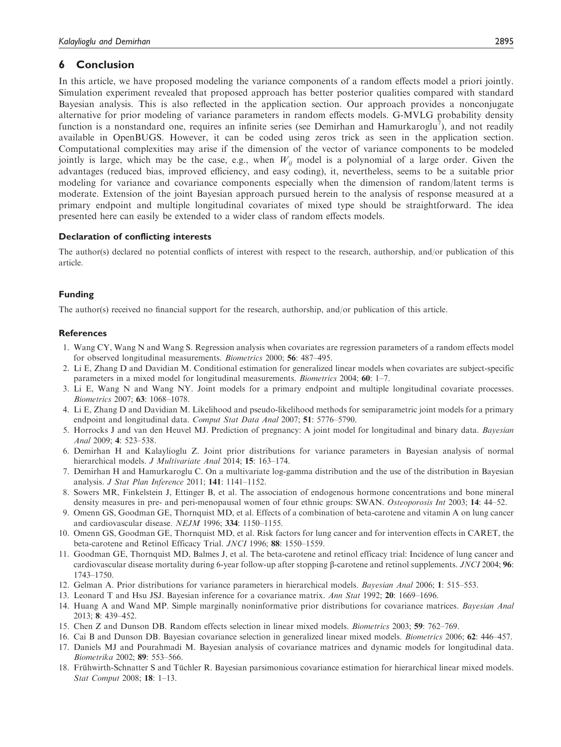## 6 Conclusion

In this article, we have proposed modeling the variance components of a random effects model a priori jointly. Simulation experiment revealed that proposed approach has better posterior qualities compared with standard Bayesian analysis. This is also reflected in the application section. Our approach provides a nonconjugate alternative for prior modeling of variance parameters in random effects models. G-MVLG probability density function is a nonstandard one, requires an infinite series (see Demirhan and Hamurkaroglu<sup>7</sup>), and not readily available in OpenBUGS. However, it can be coded using zeros trick as seen in the application section. Computational complexities may arise if the dimension of the vector of variance components to be modeled jointly is large, which may be the case, e.g., when  $W_{ii}$  model is a polynomial of a large order. Given the advantages (reduced bias, improved efficiency, and easy coding), it, nevertheless, seems to be a suitable prior modeling for variance and covariance components especially when the dimension of random/latent terms is moderate. Extension of the joint Bayesian approach pursued herein to the analysis of response measured at a primary endpoint and multiple longitudinal covariates of mixed type should be straightforward. The idea presented here can easily be extended to a wider class of random effects models.

## Declaration of conflicting interests

The author(s) declared no potential conflicts of interest with respect to the research, authorship, and/or publication of this article.

## Funding

The author(s) received no financial support for the research, authorship, and/or publication of this article.

## **References**

- 1. Wang CY, Wang N and Wang S. Regression analysis when covariates are regression parameters of a random effects model for observed longitudinal measurements. Biometrics 2000; 56: 487–495.
- 2. Li E, Zhang D and Davidian M. Conditional estimation for generalized linear models when covariates are subject-specific parameters in a mixed model for longitudinal measurements. Biometrics 2004; 60: 1–7.
- 3. Li E, Wang N and Wang NY. Joint models for a primary endpoint and multiple longitudinal covariate processes. Biometrics 2007; 63: 1068–1078.
- 4. Li E, Zhang D and Davidian M. Likelihood and pseudo-likelihood methods for semiparametric joint models for a primary endpoint and longitudinal data. Comput Stat Data Anal 2007; 51: 5776–5790.
- 5. Horrocks J and van den Heuvel MJ. Prediction of pregnancy: A joint model for longitudinal and binary data. Bayesian Anal 2009; 4: 523–538.
- 6. Demirhan H and Kalaylioglu Z. Joint prior distributions for variance parameters in Bayesian analysis of normal hierarchical models. *J Multivariate Anal* 2014; 15: 163-174.
- 7. Demirhan H and Hamurkaroglu C. On a multivariate log-gamma distribution and the use of the distribution in Bayesian analysis. J Stat Plan Inference 2011; 141: 1141–1152.
- 8. Sowers MR, Finkelstein J, Ettinger B, et al. The association of endogenous hormone concentrations and bone mineral density measures in pre- and peri-menopausal women of four ethnic groups: SWAN. Osteoporosis Int 2003; 14: 44–52.
- 9. Omenn GS, Goodman GE, Thornquist MD, et al. Effects of a combination of beta-carotene and vitamin A on lung cancer and cardiovascular disease. NEJM 1996; 334: 1150–1155.
- 10. Omenn GS, Goodman GE, Thornquist MD, et al. Risk factors for lung cancer and for intervention effects in CARET, the beta-carotene and Retinol Efficacy Trial. JNCI 1996; 88: 1550–1559.
- 11. Goodman GE, Thornquist MD, Balmes J, et al. The beta-carotene and retinol efficacy trial: Incidence of lung cancer and cardiovascular disease mortality during 6-year follow-up after stopping b-carotene and retinol supplements. JNCI 2004; 96: 1743–1750.
- 12. Gelman A. Prior distributions for variance parameters in hierarchical models. Bayesian Anal 2006; 1: 515–553.
- 13. Leonard T and Hsu JSJ. Bayesian inference for a covariance matrix. Ann Stat 1992; 20: 1669–1696.
- 14. Huang A and Wand MP. Simple marginally noninformative prior distributions for covariance matrices. Bayesian Anal 2013; 8: 439–452.
- 15. Chen Z and Dunson DB. Random effects selection in linear mixed models. Biometrics 2003; 59: 762–769.
- 16. Cai B and Dunson DB. Bayesian covariance selection in generalized linear mixed models. Biometrics 2006; 62: 446–457.
- 17. Daniels MJ and Pourahmadi M. Bayesian analysis of covariance matrices and dynamic models for longitudinal data. Biometrika 2002; 89: 553–566.
- 18. Frühwirth-Schnatter S and Tüchler R. Bayesian parsimonious covariance estimation for hierarchical linear mixed models. Stat Comput 2008; 18: 1–13.